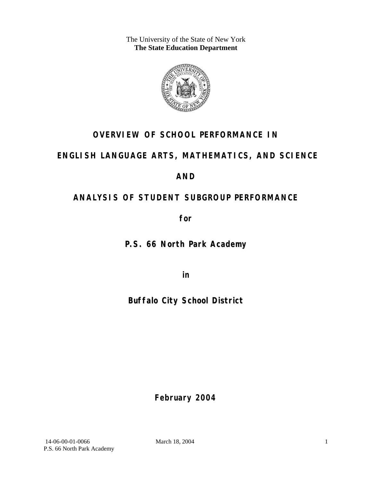The University of the State of New York **The State Education Department** 



# **OVERVIEW OF SCHOOL PERFORMANCE IN**

# **ENGLISH LANGUAGE ARTS, MATHEMATICS, AND SCIENCE**

# **AND**

# **ANALYSIS OF STUDENT SUBGROUP PERFORMANCE**

**for** 

**P.S. 66 North Park Academy**

**in** 

# **Buffalo City School District**

**February 2004**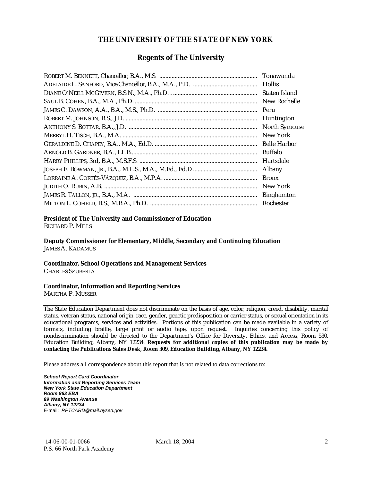### **THE UNIVERSITY OF THE STATE OF NEW YORK**

#### **Regents of The University**

| Tonawanda             |
|-----------------------|
| <b>Hollis</b>         |
| Staten Island         |
| New Rochelle          |
| Peru                  |
| Huntington            |
| <b>North Syracuse</b> |
| New York              |
| <b>Belle Harbor</b>   |
| Buffalo               |
| Hartsdale             |
| Albany                |
| <b>Bronx</b>          |
| New York              |
| <b>Binghamton</b>     |
| Rochester             |

#### **President of The University and Commissioner of Education**

RICHARD P. MILLS

**Deputy Commissioner for Elementary, Middle, Secondary and Continuing Education**  JAMES A. KADAMUS

#### **Coordinator, School Operations and Management Services**

CHARLES SZUBERLA

#### **Coordinator, Information and Reporting Services**

MARTHA P. MUSSER

The State Education Department does not discriminate on the basis of age, color, religion, creed, disability, marital status, veteran status, national origin, race, gender, genetic predisposition or carrier status, or sexual orientation in its educational programs, services and activities. Portions of this publication can be made available in a variety of formats, including braille, large print or audio tape, upon request. Inquiries concerning this policy of nondiscrimination should be directed to the Department's Office for Diversity, Ethics, and Access, Room 530, Education Building, Albany, NY 12234. **Requests for additional copies of this publication may be made by contacting the Publications Sales Desk, Room 309, Education Building, Albany, NY 12234.** 

Please address all correspondence about this report that is not related to data corrections to:

*School Report Card Coordinator Information and Reporting Services Team New York State Education Department Room 863 EBA 89 Washington Avenue Albany, NY 12234*  E-mail: *RPTCARD@mail.nysed.gov*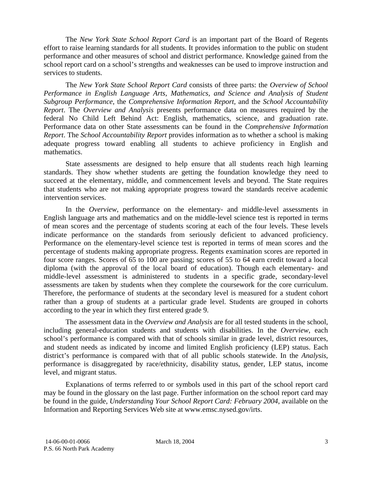The *New York State School Report Card* is an important part of the Board of Regents effort to raise learning standards for all students. It provides information to the public on student performance and other measures of school and district performance. Knowledge gained from the school report card on a school's strengths and weaknesses can be used to improve instruction and services to students.

The *New York State School Report Card* consists of three parts: the *Overview of School Performance in English Language Arts, Mathematics, and Science and Analysis of Student Subgroup Performance,* the *Comprehensive Information Report,* and the *School Accountability Report*. The *Overview and Analysis* presents performance data on measures required by the federal No Child Left Behind Act: English, mathematics, science, and graduation rate. Performance data on other State assessments can be found in the *Comprehensive Information Report*. The *School Accountability Report* provides information as to whether a school is making adequate progress toward enabling all students to achieve proficiency in English and mathematics.

State assessments are designed to help ensure that all students reach high learning standards. They show whether students are getting the foundation knowledge they need to succeed at the elementary, middle, and commencement levels and beyond. The State requires that students who are not making appropriate progress toward the standards receive academic intervention services.

In the *Overview*, performance on the elementary- and middle-level assessments in English language arts and mathematics and on the middle-level science test is reported in terms of mean scores and the percentage of students scoring at each of the four levels. These levels indicate performance on the standards from seriously deficient to advanced proficiency. Performance on the elementary-level science test is reported in terms of mean scores and the percentage of students making appropriate progress. Regents examination scores are reported in four score ranges. Scores of 65 to 100 are passing; scores of 55 to 64 earn credit toward a local diploma (with the approval of the local board of education). Though each elementary- and middle-level assessment is administered to students in a specific grade, secondary-level assessments are taken by students when they complete the coursework for the core curriculum. Therefore, the performance of students at the secondary level is measured for a student cohort rather than a group of students at a particular grade level. Students are grouped in cohorts according to the year in which they first entered grade 9.

The assessment data in the *Overview and Analysis* are for all tested students in the school, including general-education students and students with disabilities. In the *Overview*, each school's performance is compared with that of schools similar in grade level, district resources, and student needs as indicated by income and limited English proficiency (LEP) status. Each district's performance is compared with that of all public schools statewide. In the *Analysis*, performance is disaggregated by race/ethnicity, disability status, gender, LEP status, income level, and migrant status.

Explanations of terms referred to or symbols used in this part of the school report card may be found in the glossary on the last page. Further information on the school report card may be found in the guide, *Understanding Your School Report Card: February 2004*, available on the Information and Reporting Services Web site at www.emsc.nysed.gov/irts.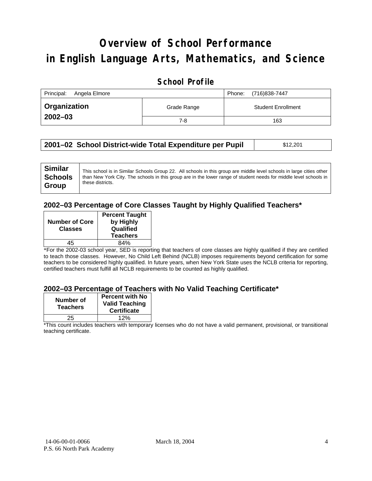# **Overview of School Performance in English Language Arts, Mathematics, and Science**

### **School Profile**

| Principal:<br>Angela Elmore |             | (716)838-7447<br>Phone:   |
|-----------------------------|-------------|---------------------------|
| Organization                | Grade Range | <b>Student Enrollment</b> |
| $2002 - 03$                 | 7-8         | 163                       |

| 2001–02 School District-wide Total Expenditure per Pupil | \$12,201 |
|----------------------------------------------------------|----------|
|----------------------------------------------------------|----------|

#### **2002–03 Percentage of Core Classes Taught by Highly Qualified Teachers\***

| <b>Number of Core</b><br><b>Classes</b> | <b>Percent Taught</b><br>by Highly<br>Qualified<br><b>Teachers</b> |
|-----------------------------------------|--------------------------------------------------------------------|
| 15                                      | 84%                                                                |

\*For the 2002-03 school year, SED is reporting that teachers of core classes are highly qualified if they are certified to teach those classes. However, No Child Left Behind (NCLB) imposes requirements beyond certification for some teachers to be considered highly qualified. In future years, when New York State uses the NCLB criteria for reporting, certified teachers must fulfill all NCLB requirements to be counted as highly qualified.

#### **2002–03 Percentage of Teachers with No Valid Teaching Certificate\***

| Number of<br><b>Teachers</b> | <b>Percent with No</b><br><b>Valid Teaching</b><br><b>Certificate</b> |
|------------------------------|-----------------------------------------------------------------------|
| 25                           | 12%                                                                   |

\*This count includes teachers with temporary licenses who do not have a valid permanent, provisional, or transitional teaching certificate.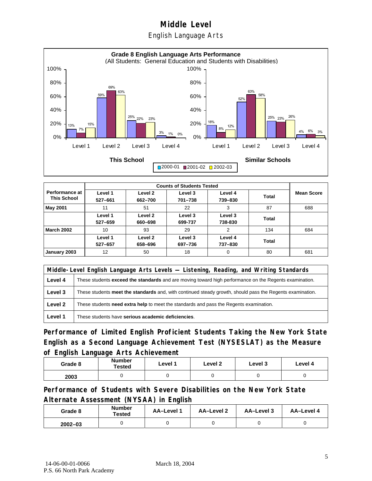### English Language Arts



| <b>Performance at</b><br><b>This School</b> | Level 1<br>527-661 | Level 2<br>662-700 | Level 3<br>701-738 | Level 4<br>739-830 | Total | <b>Mean Score</b> |
|---------------------------------------------|--------------------|--------------------|--------------------|--------------------|-------|-------------------|
| May 2001                                    | 11                 | 51                 | 22                 | 3                  | 87    | 688               |
|                                             | Level 1<br>527-659 | Level 2<br>660-698 | Level 3<br>699-737 | Level 3<br>738-830 | Total |                   |
| <b>March 2002</b>                           | 10                 | 93                 | 29                 | $\overline{2}$     | 134   | 684               |
|                                             | Level 1<br>527-657 | Level 2<br>658-696 | Level 3<br>697-736 | Level 4<br>737-830 | Total |                   |
| January 2003                                | 12                 | 50                 | 18                 | 0                  | 80    | 681               |

|         | Middle-Level English Language Arts Levels — Listening, Reading, and Writing Standards                         |  |  |  |
|---------|---------------------------------------------------------------------------------------------------------------|--|--|--|
| Level 4 | These students <b>exceed the standards</b> and are moving toward high performance on the Regents examination. |  |  |  |
| Level 3 | These students meet the standards and, with continued steady growth, should pass the Regents examination.     |  |  |  |
| Level 2 | These students need extra help to meet the standards and pass the Regents examination.                        |  |  |  |
| Level 1 | These students have serious academic deficiencies.                                                            |  |  |  |

**Performance of Limited English Proficient Students Taking the New York State English as a Second Language Achievement Test (NYSESLAT) as the Measure of English Language Arts Achievement**

| Grade 8 | <b>Number</b><br>Tested | Level 1 | Level 2 | Level 3 | Level 4 |
|---------|-------------------------|---------|---------|---------|---------|
| 2003    |                         |         |         |         |         |

**Performance of Students with Severe Disabilities on the New York State Alternate Assessment (NYSAA) in English** 

| Grade 8     | Number<br>Tested | AA-Level 1 | AA-Level 2 | AA-Level 3 | AA-Level 4 |
|-------------|------------------|------------|------------|------------|------------|
| $2002 - 03$ |                  |            |            |            |            |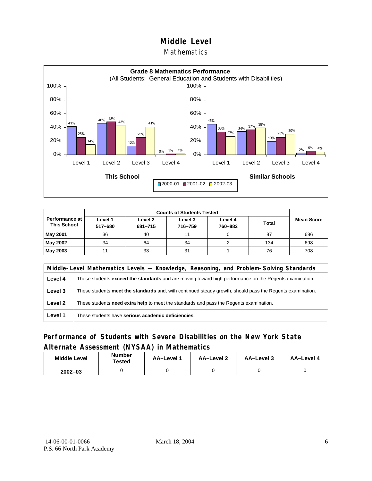#### **Mathematics**



| <b>Counts of Students Tested</b>       |                    |                    |                    |                    |              |                   |
|----------------------------------------|--------------------|--------------------|--------------------|--------------------|--------------|-------------------|
| Performance at I<br><b>This School</b> | Level 1<br>517-680 | Level 2<br>681-715 | Level 3<br>716-759 | Level 4<br>760-882 | <b>Total</b> | <b>Mean Score</b> |
| <b>May 2001</b>                        | 36                 | 40                 |                    |                    | 87           | 686               |
| May 2002                               | 34                 | 64                 | 34                 |                    | 134          | 698               |
| May 2003                               |                    | 33                 | 31                 |                    | 76           | 708               |

|         | Middle-Level Mathematics Levels — Knowledge, Reasoning, and Problem-Solving Standards                         |  |  |
|---------|---------------------------------------------------------------------------------------------------------------|--|--|
| Level 4 | These students <b>exceed the standards</b> and are moving toward high performance on the Regents examination. |  |  |
| Level 3 | These students meet the standards and, with continued steady growth, should pass the Regents examination.     |  |  |
| Level 2 | These students <b>need extra help</b> to meet the standards and pass the Regents examination.                 |  |  |
| Level 1 | These students have serious academic deficiencies.                                                            |  |  |

### **Performance of Students with Severe Disabilities on the New York State Alternate Assessment (NYSAA) in Mathematics**

| <b>Middle Level</b> | <b>Number</b><br>Tested | <b>AA-Level</b> | AA-Level 2 | AA-Level 3 | AA-Level 4 |  |
|---------------------|-------------------------|-----------------|------------|------------|------------|--|
| $2002 - 03$         |                         |                 |            |            |            |  |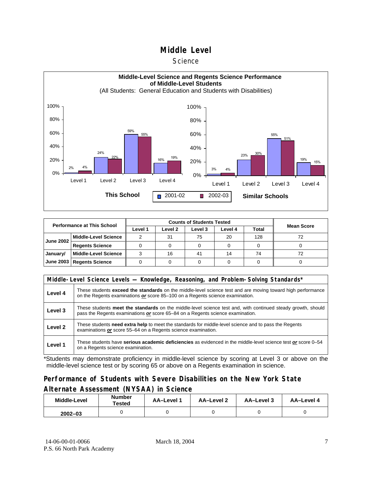#### **Science**



| <b>Performance at This School</b> |                             |         |         |         |         |       |                   |
|-----------------------------------|-----------------------------|---------|---------|---------|---------|-------|-------------------|
|                                   |                             | Level 1 | Level 2 | Level 3 | Level 4 | Total | <b>Mean Score</b> |
| <b>June 2002</b>                  | <b>Middle-Level Science</b> |         | 31      | 75      | 20      | 128   | 72                |
|                                   | <b>Regents Science</b>      |         |         |         |         |       |                   |
| January/                          | <b>Middle-Level Science</b> |         | 16      | 41      | 14      | 74    | 72                |
| June 2003                         | <b>Regents Science</b>      |         |         |         |         |       |                   |

|         | Middle-Level Science Levels — Knowledge, Reasoning, and Problem-Solving Standards*                                                                                                                  |  |  |  |  |  |  |  |
|---------|-----------------------------------------------------------------------------------------------------------------------------------------------------------------------------------------------------|--|--|--|--|--|--|--|
| Level 4 | These students <b>exceed the standards</b> on the middle-level science test and are moving toward high performance<br>on the Regents examinations or score 85–100 on a Regents science examination. |  |  |  |  |  |  |  |
| Level 3 | These students meet the standards on the middle-level science test and, with continued steady growth, should<br>pass the Regents examinations or score 65–84 on a Regents science examination.      |  |  |  |  |  |  |  |
| Level 2 | These students need extra help to meet the standards for middle-level science and to pass the Regents<br>examinations or score 55–64 on a Regents science examination.                              |  |  |  |  |  |  |  |
| Level 1 | These students have serious academic deficiencies as evidenced in the middle-level science test or score 0–54<br>on a Regents science examination.                                                  |  |  |  |  |  |  |  |

\*Students may demonstrate proficiency in middle-level science by scoring at Level 3 or above on the middle-level science test or by scoring 65 or above on a Regents examination in science.

### **Performance of Students with Severe Disabilities on the New York State Alternate Assessment (NYSAA) in Science**

| <b>Middle-Level</b> | <b>Number</b><br>Tested | AA-Level 1 | AA-Level 2 | AA-Level 3 | AA-Level 4 |  |
|---------------------|-------------------------|------------|------------|------------|------------|--|
| $2002 - 03$         |                         |            |            |            |            |  |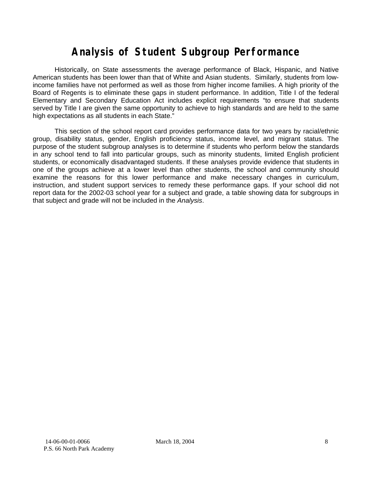# **Analysis of Student Subgroup Performance**

Historically, on State assessments the average performance of Black, Hispanic, and Native American students has been lower than that of White and Asian students. Similarly, students from lowincome families have not performed as well as those from higher income families. A high priority of the Board of Regents is to eliminate these gaps in student performance. In addition, Title I of the federal Elementary and Secondary Education Act includes explicit requirements "to ensure that students served by Title I are given the same opportunity to achieve to high standards and are held to the same high expectations as all students in each State."

This section of the school report card provides performance data for two years by racial/ethnic group, disability status, gender, English proficiency status, income level, and migrant status. The purpose of the student subgroup analyses is to determine if students who perform below the standards in any school tend to fall into particular groups, such as minority students, limited English proficient students, or economically disadvantaged students. If these analyses provide evidence that students in one of the groups achieve at a lower level than other students, the school and community should examine the reasons for this lower performance and make necessary changes in curriculum, instruction, and student support services to remedy these performance gaps. If your school did not report data for the 2002-03 school year for a subject and grade, a table showing data for subgroups in that subject and grade will not be included in the *Analysis*.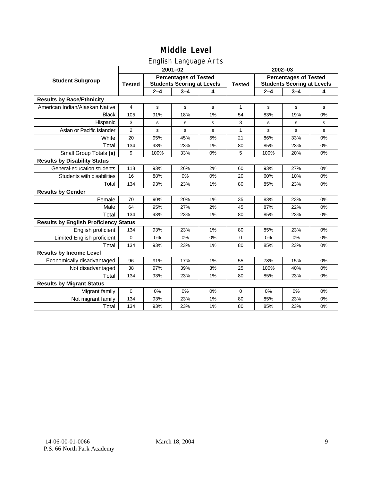## English Language Arts

|                                              |                |             | ັ<br>$2001 - 02$                                                  |    | $2002 - 03$   |                                                                   |             |             |  |
|----------------------------------------------|----------------|-------------|-------------------------------------------------------------------|----|---------------|-------------------------------------------------------------------|-------------|-------------|--|
| <b>Student Subgroup</b>                      | <b>Tested</b>  |             | <b>Percentages of Tested</b><br><b>Students Scoring at Levels</b> |    | <b>Tested</b> | <b>Percentages of Tested</b><br><b>Students Scoring at Levels</b> |             |             |  |
|                                              |                | $2 - 4$     | $3 - 4$                                                           | 4  |               | $2 - 4$                                                           | $3 - 4$     | 4           |  |
| <b>Results by Race/Ethnicity</b>             |                |             |                                                                   |    |               |                                                                   |             |             |  |
| American Indian/Alaskan Native               | 4              | $\mathbf s$ | $\mathbf s$                                                       | s  | $\mathbf{1}$  | s                                                                 | $\mathbf s$ | $\mathbf s$ |  |
| <b>Black</b>                                 | 105            | 91%         | 18%                                                               | 1% | 54            | 83%                                                               | 19%         | 0%          |  |
| Hispanic                                     | 3              | s           | s                                                                 | s  | 3             | s                                                                 | s           | s           |  |
| Asian or Pacific Islander                    | $\overline{2}$ | s           | s                                                                 | s  | 1             | s                                                                 | s           | $\mathbf s$ |  |
| White                                        | 20             | 95%         | 45%                                                               | 5% | 21            | 86%                                                               | 33%         | 0%          |  |
| Total                                        | 134            | 93%         | 23%                                                               | 1% | 80            | 85%                                                               | 23%         | 0%          |  |
| Small Group Totals (s)                       | 9              | 100%        | 33%                                                               | 0% | 5             | 100%                                                              | 20%         | 0%          |  |
| <b>Results by Disability Status</b>          |                |             |                                                                   |    |               |                                                                   |             |             |  |
| General-education students                   | 118            | 93%         | 26%                                                               | 2% | 60            | 93%                                                               | 27%         | 0%          |  |
| Students with disabilities                   | 16             | 88%         | 0%                                                                | 0% | 20            | 60%                                                               | 10%         | 0%          |  |
| Total                                        | 134            | 93%         | 23%                                                               | 1% | 80            | 85%                                                               | 23%         | 0%          |  |
| <b>Results by Gender</b>                     |                |             |                                                                   |    |               |                                                                   |             |             |  |
| Female                                       | 70             | 90%         | 20%                                                               | 1% | 35            | 83%                                                               | 23%         | 0%          |  |
| Male                                         | 64             | 95%         | 27%                                                               | 2% | 45            | 87%                                                               | 22%         | 0%          |  |
| Total                                        | 134            | 93%         | 23%                                                               | 1% | 80            | 85%                                                               | 23%         | 0%          |  |
| <b>Results by English Proficiency Status</b> |                |             |                                                                   |    |               |                                                                   |             |             |  |
| English proficient                           | 134            | 93%         | 23%                                                               | 1% | 80            | 85%                                                               | 23%         | 0%          |  |
| Limited English proficient                   | $\mathbf{0}$   | 0%          | 0%                                                                | 0% | $\mathbf 0$   | 0%                                                                | 0%          | 0%          |  |
| Total                                        | 134            | 93%         | 23%                                                               | 1% | 80            | 85%                                                               | 23%         | 0%          |  |
| <b>Results by Income Level</b>               |                |             |                                                                   |    |               |                                                                   |             |             |  |
| Economically disadvantaged                   | 96             | 91%         | 17%                                                               | 1% | 55            | 78%                                                               | 15%         | 0%          |  |
| Not disadvantaged                            | 38             | 97%         | 39%                                                               | 3% | 25            | 100%                                                              | 40%         | $0\%$       |  |
| Total                                        | 134            | 93%         | 23%                                                               | 1% | 80            | 85%                                                               | 23%         | 0%          |  |
| <b>Results by Migrant Status</b>             |                |             |                                                                   |    |               |                                                                   |             |             |  |
| Migrant family                               | $\mathbf 0$    | 0%          | 0%                                                                | 0% | 0             | 0%                                                                | 0%          | 0%          |  |
| Not migrant family                           | 134            | 93%         | 23%                                                               | 1% | 80            | 85%                                                               | 23%         | 0%          |  |
| Total                                        | 134            | 93%         | 23%                                                               | 1% | 80            | 85%                                                               | 23%         | 0%          |  |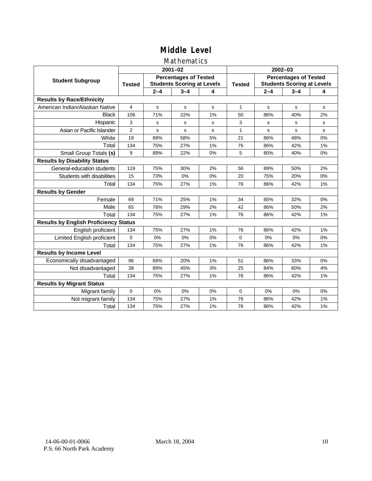### Mathematics

|                                              |                |         | $2001 - 02$                                                       |    | $2002 - 03$  |                                                                   |         |    |  |
|----------------------------------------------|----------------|---------|-------------------------------------------------------------------|----|--------------|-------------------------------------------------------------------|---------|----|--|
| <b>Student Subgroup</b>                      | <b>Tested</b>  |         | <b>Percentages of Tested</b><br><b>Students Scoring at Levels</b> |    |              | <b>Percentages of Tested</b><br><b>Students Scoring at Levels</b> |         |    |  |
|                                              |                | $2 - 4$ | $3 - 4$                                                           | 4  |              | $2 - 4$                                                           | $3 - 4$ | 4  |  |
| <b>Results by Race/Ethnicity</b>             |                |         |                                                                   |    |              |                                                                   |         |    |  |
| American Indian/Alaskan Native               | 4              | s       | s                                                                 | s  | $\mathbf{1}$ | s                                                                 | s       | s  |  |
| <b>Black</b>                                 | 106            | 71%     | 22%                                                               | 1% | 50           | 86%                                                               | 40%     | 2% |  |
| Hispanic                                     | 3              | s       | s                                                                 | s  | 3            | s                                                                 | s       | s  |  |
| Asian or Pacific Islander                    | $\overline{2}$ | s       | s                                                                 | s  | 1            | s                                                                 | s       | s  |  |
| White                                        | 19             | 89%     | 58%                                                               | 5% | 21           | 86%                                                               | 48%     | 0% |  |
| Total                                        | 134            | 75%     | 27%                                                               | 1% | 76           | 86%                                                               | 42%     | 1% |  |
| Small Group Totals (s)                       | 9              | 89%     | 22%                                                               | 0% | 5            | 80%                                                               | 40%     | 0% |  |
| <b>Results by Disability Status</b>          |                |         |                                                                   |    |              |                                                                   |         |    |  |
| General-education students                   | 119            | 75%     | 30%                                                               | 2% | 56           | 89%                                                               | 50%     | 2% |  |
| Students with disabilities                   | 15             | 73%     | 0%                                                                | 0% | 20           | 75%                                                               | 20%     | 0% |  |
| Total                                        | 134            | 75%     | 27%                                                               | 1% | 76           | 86%                                                               | 42%     | 1% |  |
| <b>Results by Gender</b>                     |                |         |                                                                   |    |              |                                                                   |         |    |  |
| Female                                       | 69             | 71%     | 25%                                                               | 1% | 34           | 85%                                                               | 32%     | 0% |  |
| Male                                         | 65             | 78%     | 29%                                                               | 2% | 42           | 86%                                                               | 50%     | 2% |  |
| Total                                        | 134            | 75%     | 27%                                                               | 1% | 76           | 86%                                                               | 42%     | 1% |  |
| <b>Results by English Proficiency Status</b> |                |         |                                                                   |    |              |                                                                   |         |    |  |
| English proficient                           | 134            | 75%     | 27%                                                               | 1% | 76           | 86%                                                               | 42%     | 1% |  |
| Limited English proficient                   | 0              | 0%      | 0%                                                                | 0% | 0            | 0%                                                                | 0%      | 0% |  |
| Total                                        | 134            | 75%     | 27%                                                               | 1% | 76           | 86%                                                               | 42%     | 1% |  |
| <b>Results by Income Level</b>               |                |         |                                                                   |    |              |                                                                   |         |    |  |
| Economically disadvantaged                   | 96             | 69%     | 20%                                                               | 1% | 51           | 86%                                                               | 33%     | 0% |  |
| Not disadvantaged                            | 38             | 89%     | 45%                                                               | 3% | 25           | 84%                                                               | 60%     | 4% |  |
| Total                                        | 134            | 75%     | 27%                                                               | 1% | 76           | 86%                                                               | 42%     | 1% |  |
| <b>Results by Migrant Status</b>             |                |         |                                                                   |    |              |                                                                   |         |    |  |
| Migrant family                               | 0              | 0%      | 0%                                                                | 0% | 0            | 0%                                                                | 0%      | 0% |  |
| Not migrant family                           | 134            | 75%     | 27%                                                               | 1% | 76           | 86%                                                               | 42%     | 1% |  |
| Total                                        | 134            | 75%     | 27%                                                               | 1% | 76           | 86%                                                               | 42%     | 1% |  |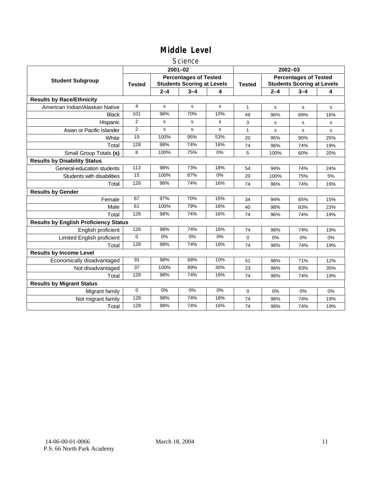#### Science

|                                              |                 |                                                                   | $2001 - 02$ |       | $2002 - 03$   |                                                                   |         |     |
|----------------------------------------------|-----------------|-------------------------------------------------------------------|-------------|-------|---------------|-------------------------------------------------------------------|---------|-----|
| <b>Student Subgroup</b>                      | <b>Tested</b>   | <b>Percentages of Tested</b><br><b>Students Scoring at Levels</b> |             |       | <b>Tested</b> | <b>Percentages of Tested</b><br><b>Students Scoring at Levels</b> |         |     |
|                                              |                 | $2 - 4$                                                           | $3 - 4$     | 4     |               | $2 - 4$                                                           | $3 - 4$ | 4   |
| <b>Results by Race/Ethnicity</b>             |                 |                                                                   |             |       |               |                                                                   |         |     |
| American Indian/Alaskan Native               | 4               | $\mathbf{s}$                                                      | s           | s     | 1             | s                                                                 | s       | s   |
| <b>Black</b>                                 | 101             | 98%                                                               | 70%         | 10%   | 49            | 96%                                                               | 69%     | 16% |
| Hispanic                                     | 2               | s                                                                 | s           | s     | 3             | s                                                                 | s       | s   |
| Asian or Pacific Islander                    | $\overline{2}$  | s                                                                 | s           | s     | $\mathbf{1}$  | s                                                                 | s       | s   |
| White                                        | 19              | 100%                                                              | 95%         | 53%   | 20            | 95%                                                               | 90%     | 25% |
| Total                                        | 128             | 98%                                                               | 74%         | 16%   | 74            | 96%                                                               | 74%     | 19% |
| Small Group Totals (s)                       | 8               | 100%                                                              | 75%         | $0\%$ | 5             | 100%                                                              | 60%     | 20% |
| <b>Results by Disability Status</b>          |                 |                                                                   |             |       |               |                                                                   |         |     |
| General-education students                   | 113             | 98%                                                               | 73%         | 18%   | 54            | 94%                                                               | 74%     | 24% |
| Students with disabilities                   | $\overline{15}$ | 100%                                                              | 87%         | $0\%$ | 20            | 100%                                                              | 75%     | 5%  |
| Total                                        | 128             | 98%                                                               | 74%         | 16%   | 74            | 96%                                                               | 74%     | 19% |
| <b>Results by Gender</b>                     |                 |                                                                   |             |       |               |                                                                   |         |     |
| Female                                       | 67              | 97%                                                               | 70%         | 15%   | 34            | 94%                                                               | 65%     | 15% |
| Male                                         | 61              | 100%                                                              | 79%         | 16%   | 40            | 98%                                                               | 83%     | 23% |
| Total                                        | 128             | 98%                                                               | 74%         | 16%   | 74            | 96%                                                               | 74%     | 19% |
| <b>Results by English Proficiency Status</b> |                 |                                                                   |             |       |               |                                                                   |         |     |
| English proficient                           | 128             | 98%                                                               | 74%         | 16%   | 74            | 96%                                                               | 74%     | 19% |
| <b>Limited English proficient</b>            | $\Omega$        | 0%                                                                | $0\%$       | $0\%$ | 0             | 0%                                                                | 0%      | 0%  |
| Total                                        | 128             | 98%                                                               | 74%         | 16%   | 74            | 96%                                                               | 74%     | 19% |
| <b>Results by Income Level</b>               |                 |                                                                   |             |       |               |                                                                   |         |     |
| Economically disadvantaged                   | 91              | 98%                                                               | 68%         | 10%   | 51            | 96%                                                               | 71%     | 12% |
| Not disadvantaged                            | 37              | 100%                                                              | 89%         | 30%   | 23            | 96%                                                               | 83%     | 35% |
| Total                                        | 128             | 98%                                                               | 74%         | 16%   | 74            | 96%                                                               | 74%     | 19% |
| <b>Results by Migrant Status</b>             |                 |                                                                   |             |       |               |                                                                   |         |     |
| Migrant family                               | 0               | 0%                                                                | 0%          | 0%    | 0             | 0%                                                                | 0%      | 0%  |
| Not migrant family                           | 128             | 98%                                                               | 74%         | 16%   | 74            | 96%                                                               | 74%     | 19% |
| Total                                        | 128             | 98%                                                               | 74%         | 16%   | 74            | 96%                                                               | 74%     | 19% |